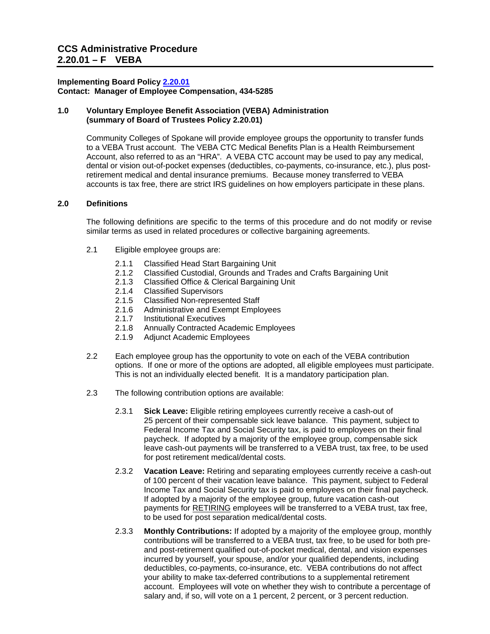### **Implementing Board Policy [2.20.01](https://ccs.spokane.edu/About-Us/Leadership/Board-of-Trustees/Policies-Procedures/Chapter2#AccWE2-6) Contact: Manager of Employee Compensation, 434-5285**

### **1.0 Voluntary Employee Benefit Association (VEBA) Administration (summary of Board of Trustees Policy 2.20.01)**

Community Colleges of Spokane will provide employee groups the opportunity to transfer funds to a VEBA Trust account. The VEBA CTC Medical Benefits Plan is a Health Reimbursement Account, also referred to as an "HRA". A VEBA CTC account may be used to pay any medical, dental or vision out-of-pocket expenses (deductibles, co-payments, co-insurance, etc.), plus postretirement medical and dental insurance premiums. Because money transferred to VEBA accounts is tax free, there are strict IRS guidelines on how employers participate in these plans.

## **2.0 Definitions**

The following definitions are specific to the terms of this procedure and do not modify or revise similar terms as used in related procedures or collective bargaining agreements.

- 2.1 Eligible employee groups are:
	- 2.1.1 Classified Head Start Bargaining Unit
	- 2.1.2 Classified Custodial, Grounds and Trades and Crafts Bargaining Unit 2.1.3 Classified Office & Clerical Bargaining Unit
	- 2.1.3 Classified Office & Clerical Bargaining Unit 2.1.4 Classified Supervisors
	- **Classified Supervisors**
	- 2.1.5 Classified Non-represented Staff<br>2.1.6 Administrative and Exempt Emple
	- Administrative and Exempt Employees
	- 2.1.7 Institutional Executives
	- 2.1.8 Annually Contracted Academic Employees<br>2.1.9 Adiunct Academic Employees
	- Adjunct Academic Employees
- 2.2 Each employee group has the opportunity to vote on each of the VEBA contribution options. If one or more of the options are adopted, all eligible employees must participate. This is not an individually elected benefit. It is a mandatory participation plan.
- 2.3 The following contribution options are available:
	- for post retirement medical/dental costs. 2.3.1 **Sick Leave:** Eligible retiring employees currently receive a cash-out of 25 percent of their compensable sick leave balance. This payment, subject to Federal Income Tax and Social Security tax, is paid to employees on their final paycheck. If adopted by a majority of the employee group, compensable sick leave cash-out payments will be transferred to a VEBA trust, tax free, to be used
	- for post retirement medical/dental costs. 2.3.2 **Vacation Leave:** Retiring and separating employees currently receive a cash-out of 100 percent of their vacation leave balance. This payment, subject to Federal Income Tax and Social Security tax is paid to employees on their final paycheck. If adopted by a majority of the employee group, future vacation cash-out payments for RETIRING employees will be transferred to a VEBA trust, tax free, to be used for post separation medical/dental costs.
	- 2.3.3 **Monthly Contributions:** If adopted by a majority of the employee group, monthly contributions will be transferred to a VEBA trust, tax free, to be used for both preand post-retirement qualified out-of-pocket medical, dental, and vision expenses incurred by yourself, your spouse, and/or your qualified dependents, including deductibles, co-payments, co-insurance, etc. VEBA contributions do not affect your ability to make tax-deferred contributions to a supplemental retirement account. Employees will vote on whether they wish to contribute a percentage of salary and, if so, will vote on a 1 percent, 2 percent, or 3 percent reduction.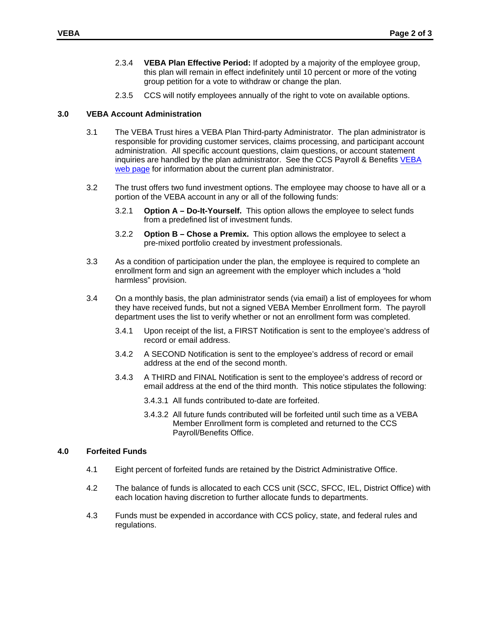- 2.3.4 **VEBA Plan Effective Period:** If adopted by a majority of the employee group, this plan will remain in effect indefinitely until 10 percent or more of the voting group petition for a vote to withdraw or change the plan.
- 2.3.5 CCS will notify employees annually of the right to vote on available options.

### **3.0 VEBA Account Administration**

- 3.1 The VEBA Trust hires a VEBA Plan Third-party Administrator. The plan administrator is responsible for providing customer services, claims processing, and participant account administration. All specific account questions, claim questions, or account statement inquiries are handled by the plan administrator. See the CCS Payroll & Benefits [VEBA](http://ccsnet.ccs.spokane.edu/Payroll---Benefits/CUSTOM-PAGES/VEBA.aspx)  [web page](http://ccsnet.ccs.spokane.edu/Payroll---Benefits/CUSTOM-PAGES/VEBA.aspx) for information about the current plan administrator.
- portion of the VEBA account in any or all of the following funds: 3.2 The trust offers two fund investment options. The employee may choose to have all or a
	- 3.2.1 **Option A Do-It-Yourself.** This option allows the employee to select funds from a predefined list of investment funds.
	- 3.2.2 **Option B Chose a Premix.** This option allows the employee to select a pre-mixed portfolio created by investment professionals.
- 3.3 As a condition of participation under the plan, the employee is required to complete an enrollment form and sign an agreement with the employer which includes a "hold harmless" provision.
- 3.4 On a monthly basis, the plan administrator sends (via email) a list of employees for whom they have received funds, but not a signed VEBA Member Enrollment form. The payroll department uses the list to verify whether or not an enrollment form was completed.
	- 3.4.1 Upon receipt of the list, a FIRST Notification is sent to the employee's address of record or email address.
	- 3.4.2 A SECOND Notification is sent to the employee's address of record or email address at the end of the second month.
	- 3.4.3 A THIRD and FINAL Notification is sent to the employee's address of record or email address at the end of the third month. This notice stipulates the following:
		- 3.4.3.1 All funds contributed to-date are forfeited.
		- 3.4.3.2 All future funds contributed will be forfeited until such time as a VEBA Member Enrollment form is completed and returned to the CCS Payroll/Benefits Office.

### **4.0 Forfeited Funds**

- 4.1 Eight percent of forfeited funds are retained by the District Administrative Office.
- 4.2 The balance of funds is allocated to each CCS unit (SCC, SFCC, IEL, District Office) with each location having discretion to further allocate funds to departments.
- 4.3 Funds must be expended in accordance with CCS policy, state, and federal rules and regulations.